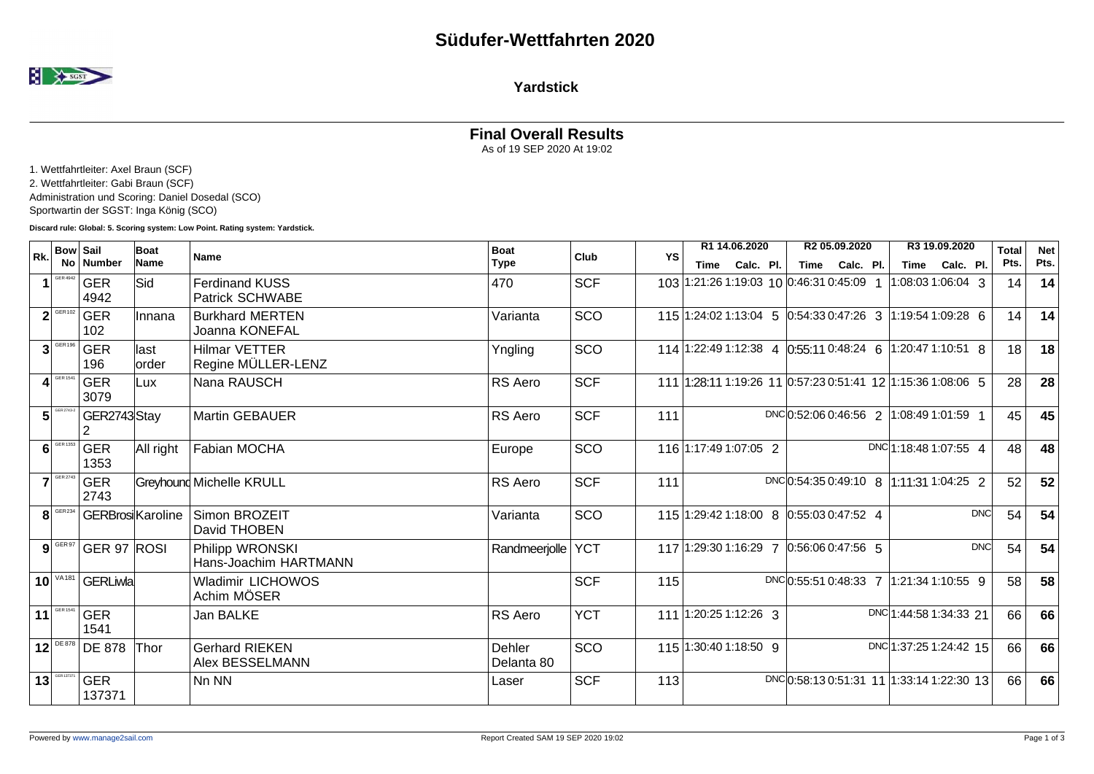

## **Yardstick**

## **Final Overall Results** As of 19 SEP 2020 At 19:02

1. Wettfahrtleiter: Axel Braun (SCF)

2. Wettfahrtleiter: Gabi Braun (SCF)

Administration und Scoring: Daniel Dosedal (SCO)

Sportwartin der SGST: Inga König (SCO)

**Discard rule: Global: 5. Scoring system: Low Point. Rating system: Yardstick.**

| Rk.            | <b>Bow Sail</b>              |                          | Boat           | <b>Name</b>                                     | <b>Boat</b>          | Club       | YS  | R1 14.06.2020                            | R2 05.09.2020                                               | R3 19.09.2020          | Total | <b>Net</b> |
|----------------|------------------------------|--------------------------|----------------|-------------------------------------------------|----------------------|------------|-----|------------------------------------------|-------------------------------------------------------------|------------------------|-------|------------|
|                |                              | No Number                | Name           |                                                 | <b>Type</b>          |            |     | Calc. Pl.<br>Time                        | Calc. Pl.<br>Time                                           | Calc. Pl.<br>Time      | Pts.  | Pts.       |
|                | <b>GER 4942</b>              | <b>GER</b><br>4942       | Sid            | <b>Ferdinand KUSS</b><br><b>Patrick SCHWABE</b> | 470                  | <b>SCF</b> |     | 103 1:21:26 1:19:03 10 0:46:31 0:45:09 1 |                                                             | $1:08:031:06:04$ 3     | 14    | 14         |
|                | $2^{\sqrt{\text{GER}102}}$   | <b>GER</b><br>102        | Innana         | <b>Burkhard MERTEN</b><br>Joanna KONEFAL        | Varianta             | SCO        |     |                                          | 115 1:24:02 1:13:04 5 0:54:33 0:47:26 3 1:19:54 1:09:28 6   |                        | 14    | 14         |
| $\overline{3}$ | GER 196                      | <b>GER</b><br>196        | last<br>lorder | <b>Hilmar VETTER</b><br>Regine MÜLLER-LENZ      | Yngling              | SCO        |     |                                          | 114 1:22:49 1:12:38 4 0:55:11 0:48:24 6 1:20:47 1:10:51 8   |                        | 18    | 18         |
|                | GER 1541                     | <b>GER</b><br>3079       | Lux            | Nana RAUSCH                                     | RS Aero              | <b>SCF</b> |     |                                          | 111 1:28:11 1:19:26 11 0:57:23 0:51:41 12 1:15:36 1:08:06 5 |                        | 28    | 28         |
| 5              | GER 2743-2                   | GER2743Stay<br>2         |                | <b>Martin GEBAUER</b>                           | RS Aero              | <b>SCF</b> | 111 |                                          | DNC 0:52:06 0:46:56 2 1:08:49 1:01:59                       |                        | 45    | 45         |
| $6 \mid$       | GER 1353                     | <b>GER</b><br>1353       | All right      | Fabian MOCHA                                    | Europe               | SCO        |     | 116 1:17:49 1:07:05 2                    |                                                             | DNC 1:18:48 1:07:55 4  | 48    | 48         |
|                | $7^{\sqrt{\text{GER }2743}}$ | <b>GER</b><br>2743       |                | <b>Greyhound Michelle KRULL</b>                 | RS Aero              | <b>SCF</b> | 111 |                                          | DNC 0:54:35 0:49:10 8 1:11:31 1:04:25 2                     |                        | 52    | 52         |
|                | $8$ GER <sub>234</sub>       | <b>GERBrosi</b> Karoline |                | Simon BROZEIT<br>David THOBEN                   | Varianta             | SCO        |     | 115 1:29:42 1:18:00 8 0:55:03 0:47:52 4  |                                                             | DNC                    | 54    | 54         |
|                | $9$ GER 97                   | GER 97 ROSI              |                | Philipp WRONSKI<br>Hans-Joachim HARTMANN        | Randmeerjolle        | <b>YCT</b> |     | 117 1:29:30 1:16:29 7 0:56:06 0:47:56 5  |                                                             | <b>DNC</b>             | 54    | 54         |
|                | $10^{144}$                   | <b>GERLiwla</b>          |                | <b>Wladimir LICHOWOS</b><br>Achim MÖSER         |                      | <b>SCF</b> | 115 |                                          | DNC 0:55:51 0:48:33 7 1:21:34 1:10:55 9                     |                        | 58    | 58         |
| 11             | GER 1541                     | <b>GER</b><br>1541       |                | Jan BALKE                                       | RS Aero              | <b>YCT</b> |     | 111 1:20:25 1:12:26 3                    |                                                             | DNC 1:44:58 1:34:33 21 | 66    | 66         |
|                | $12$ <sup>DE878</sup>        | <b>DE 878</b>            | Thor           | <b>Gerhard RIEKEN</b><br>Alex BESSELMANN        | Dehler<br>Delanta 80 | SCO        |     | 115 1:30:40 1:18:50 9                    |                                                             | DNC 1:37:25 1:24:42 15 | 66    | 66         |
| 13             | GER 137371                   | <b>GER</b><br>137371     |                | Nn NN                                           | Laser                | <b>SCF</b> | 113 |                                          | DNC 0:58:13 0:51:31 11 1:33:14 1:22:30 13                   |                        | 66    | 66         |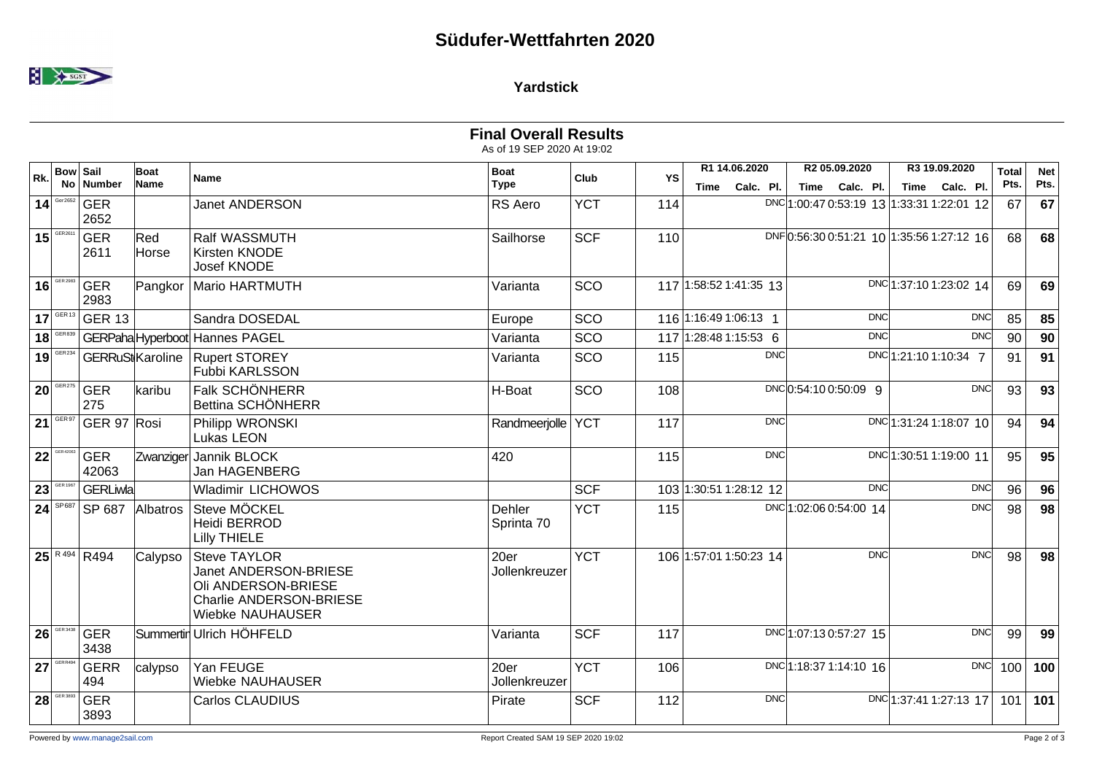

## **Yardstick**

|                 |                         |                              |                           |                                                                                                                    | <b>Final Overall Results</b><br>As of 19 SEP 2020 At 19:02 |            |     |                                    |                                           |                                    |                      |                    |
|-----------------|-------------------------|------------------------------|---------------------------|--------------------------------------------------------------------------------------------------------------------|------------------------------------------------------------|------------|-----|------------------------------------|-------------------------------------------|------------------------------------|----------------------|--------------------|
| Rk.             | <b>Bow Sail</b>         | No Number                    | Boat<br>Name              | <b>Name</b>                                                                                                        | <b>Boat</b><br><b>Type</b>                                 | Club       | YS  | R1 14.06.2020<br>Calc. Pl.<br>Time | R2 05.09.2020<br>Time Calc. Pl.           | R3 19.09.2020<br>Calc. Pl.<br>Time | <b>Total</b><br>Pts. | <b>Net</b><br>Pts. |
|                 | 14                      | <b>GER</b><br>2652           |                           | <b>Janet ANDERSON</b>                                                                                              | RS Aero                                                    | <b>YCT</b> | 114 |                                    | DNC 1:00:47 0:53:19 13 1:33:31 1:22:01 12 |                                    | 67                   | 67                 |
|                 | $15$ <sup>GER2611</sup> | <b>GER</b><br>2611           | $ \mathsf{Red} $<br>Horse | Ralf WASSMUTH<br>Kirsten KNODE<br><b>Josef KNODE</b>                                                               | Sailhorse                                                  | <b>SCF</b> | 110 |                                    | DNF0:56:30 0:51:21 10 1:35:56 1:27:12 16  |                                    | 68                   | 68                 |
|                 | 16                      | <b>GER</b><br>2983           | Pangkor                   | Mario HARTMUTH                                                                                                     | Varianta                                                   | SCO        |     | 117 1:58:52 1:41:35 13             |                                           | DNC 1:37:10 1:23:02 14             | 69                   | 69                 |
|                 |                         | $17$ <sup>GER13</sup> GER 13 |                           | Sandra DOSEDAL                                                                                                     | Europe                                                     | SCO        |     | 116 1:16:49 1:06:13 1              | <b>DNC</b>                                | <b>DNC</b>                         | 85                   | 85                 |
|                 | 18                      |                              |                           | GERPaha Hyperboot Hannes PAGEL                                                                                     | Varianta                                                   | SCO        |     | 117 1:28:48 1:15:53 6              | <b>DNC</b>                                | <b>DNC</b>                         | 90                   | 90                 |
|                 | $19$ <sup>GER234</sup>  | GERRuSt Karoline             |                           | <b>Rupert STOREY</b><br>Fubbi KARLSSON                                                                             | Varianta                                                   | SCO        | 115 | <b>DNC</b>                         |                                           | DNC 1:21:10 1:10:34 7              | 91                   | 91                 |
| 20 <sup>1</sup> | GER 275                 | <b>GER</b><br>275            | karibu                    | Falk SCHÖNHERR<br>Bettina SCHÖNHERR                                                                                | H-Boat                                                     | SCO        | 108 |                                    | DNC 0:54:10 0:50:09 9                     | DNC                                | 93                   | 93                 |
|                 | $21$ <sup>GER97</sup>   | GER 97 Rosi                  |                           | Philipp WRONSKI<br>Lukas LEON                                                                                      | Randmeerjolle   YCT                                        |            | 117 | <b>DNC</b>                         |                                           | DNC 1:31:24 1:18:07 10             | 94                   | 94                 |
| 22              | GER 42063               | <b>GER</b><br>42063          |                           | Zwanziger Jannik BLOCK<br><b>Jan HAGENBERG</b>                                                                     | 420                                                        |            | 115 | <b>DNC</b>                         |                                           | DNC 1:30:51 1:19:00 11             | 95                   | 95                 |
| 23              | GER 1967                | <b>GERLiwlal</b>             |                           | <b>Wladimir LICHOWOS</b>                                                                                           |                                                            | <b>SCF</b> |     | 103 1:30:51 1:28:12 12             | <b>DNC</b>                                | <b>DNC</b>                         | 96                   | 96                 |
|                 | $24$ <sup>SP687</sup>   | SP 687                       | Albatros                  | Steve MÖCKEL<br>Heidi BERROD<br><b>Lilly THIELE</b>                                                                | Dehler<br>Sprinta 70                                       | <b>YCT</b> | 115 |                                    | DNC 1:02:06 0:54:00 14                    | DNC                                | 98                   | 98                 |
|                 |                         | $\sqrt{25}$ R494 R494        | Calypso                   | <b>Steve TAYLOR</b><br>Janet ANDERSON-BRIESE<br>Oli ANDERSON-BRIESE<br>Charlie ANDERSON-BRIESE<br>Wiebke NAUHAUSER | 20er<br>Jollenkreuzer                                      | <b>YCT</b> |     | 106 1:57:01 1:50:23 14             | <b>DNC</b>                                | <b>DNC</b>                         | 98                   | 98                 |
| 26              | GER 3438                | <b>GER</b><br>3438           |                           | Summertir Ulrich HÖHFELD                                                                                           | Varianta                                                   | <b>SCF</b> | 117 |                                    | DNC 1:07:13 0:57:27 15                    | <b>DNC</b>                         | 99                   | 99                 |
|                 | 27                      | <b>GERR</b><br>494           | calypso                   | Yan FEUGE<br><b>Wiebke NAUHAUSER</b>                                                                               | 20er<br>Jollenkreuzer                                      | <b>YCT</b> | 106 |                                    | DNC 1:18:37 1:14:10 16                    | DNC                                | 100                  | 100                |
| 28              | GER 3893                | <b>GER</b><br>3893           |                           | <b>Carlos CLAUDIUS</b>                                                                                             | Pirate                                                     | <b>SCF</b> | 112 | <b>DNC</b>                         |                                           | DNC 1:37:41 1:27:13 17             | 101                  | 101                |